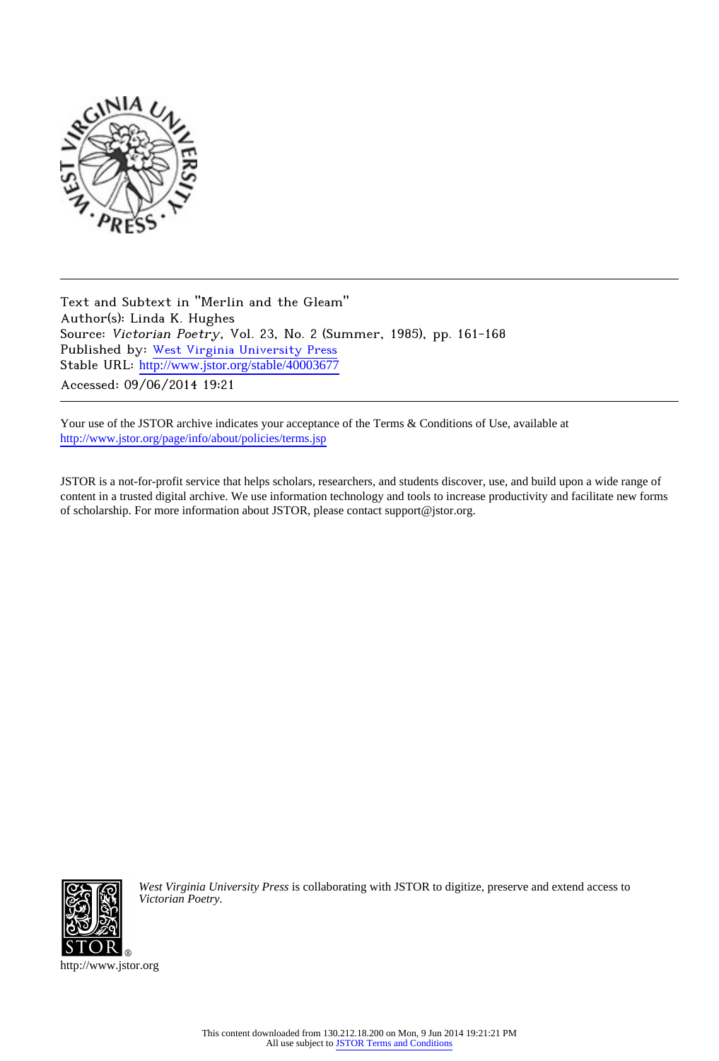

Text and Subtext in "Merlin and the Gleam" Author(s): Linda K. Hughes Source: Victorian Poetry, Vol. 23, No. 2 (Summer, 1985), pp. 161-168 Published by: [West Virginia University Press](http://www.jstor.org/action/showPublisher?publisherCode=wvup) Stable URL: http://www.jstor.org/stable/40003677 Accessed: 09/06/2014 19:21

Your use of the JSTOR archive indicates your acceptance of the Terms & Conditions of Use, available at <http://www.jstor.org/page/info/about/policies/terms.jsp>

JSTOR is a not-for-profit service that helps scholars, researchers, and students discover, use, and build upon a wide range of content in a trusted digital archive. We use information technology and tools to increase productivity and facilitate new forms of scholarship. For more information about JSTOR, please contact support@jstor.org.



*West Virginia University Press* is collaborating with JSTOR to digitize, preserve and extend access to *Victorian Poetry.*

http://www.jstor.org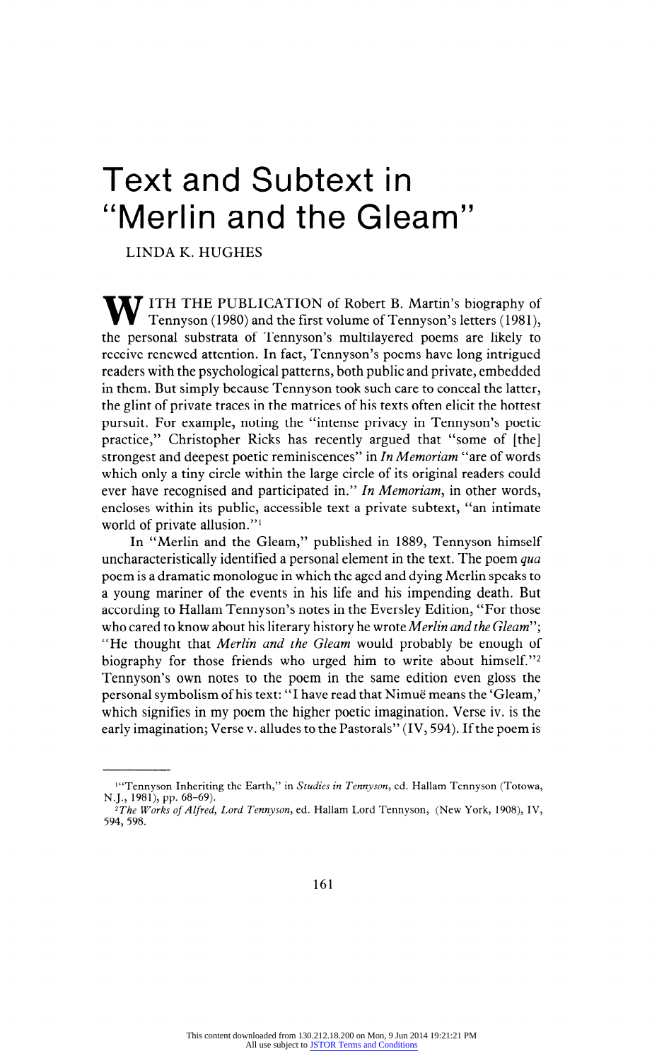# **Text and Subtext in "Merlin and the Gleam"**

**LINDA K. HUGHES** 

**THE PUBLICATION of Robert B. Martin's biography of Tennyson (1980) and the first volume of Tennyson's letters (1981), the personal substrata of Tennyson's multilayered poems are likely to receive renewed attention. In fact, Tennyson's poems have long intrigued readers with the psychological patterns, both public and private, embedded in them. But simply because Tennyson took such care to conceal the latter, the glint of private traces in the matrices of his texts often elicit the hottest pursuit. For example, noting the "intense privacy in Tennyson's poetic practice," Christopher Ricks has recently argued that "some of [the] strongest and deepest poetic reminiscences" in In Memoriam "are of words which only a tiny circle within the large circle of its original readers could ever have recognised and participated in." In Memoriam, in other words, encloses within its public, accessible text a private subtext, "an intimate world of private allusion."1** 

**In "Merlin and the Gleam," published in 1889, Tennyson himself uncharacteristically identified a personal element in the text. The poem qua poem is a dramatic monologue in which the aged and dying Merlin speaks to a young mariner of the events in his life and his impending death. But according to Hallam Tennyson's notes in the Eversley Edition, "For those who cared to know about his literary history he wrote Merlin and the Gleam"', "He thought that Merlin and the Gleam would probably be enough of biography for those friends who urged him to write about himself."2 Tennyson's own notes to the poem in the same edition even gloss the personal symbolism of his text: "I have read that Nimue means the 'Gleam,' which signifies in my poem the higher poetic imagination. Verse iv. is the early imagination; Verse v. alludes to the Pastorals" (IV, 594). If the poem is** 

<sup>&</sup>lt;sup>14</sup> Tennyson Inheriting the Earth," in *Studies in Tennyson*, ed. Hallam Tennyson (Totowa, **N.J., 1981), pp. 68-69).** 

**<sup>2</sup>The Works of Alfred, Lord Tennyson, ed. Hallam Lord Tennyson, (New York, 1908), IV, 594, 598.**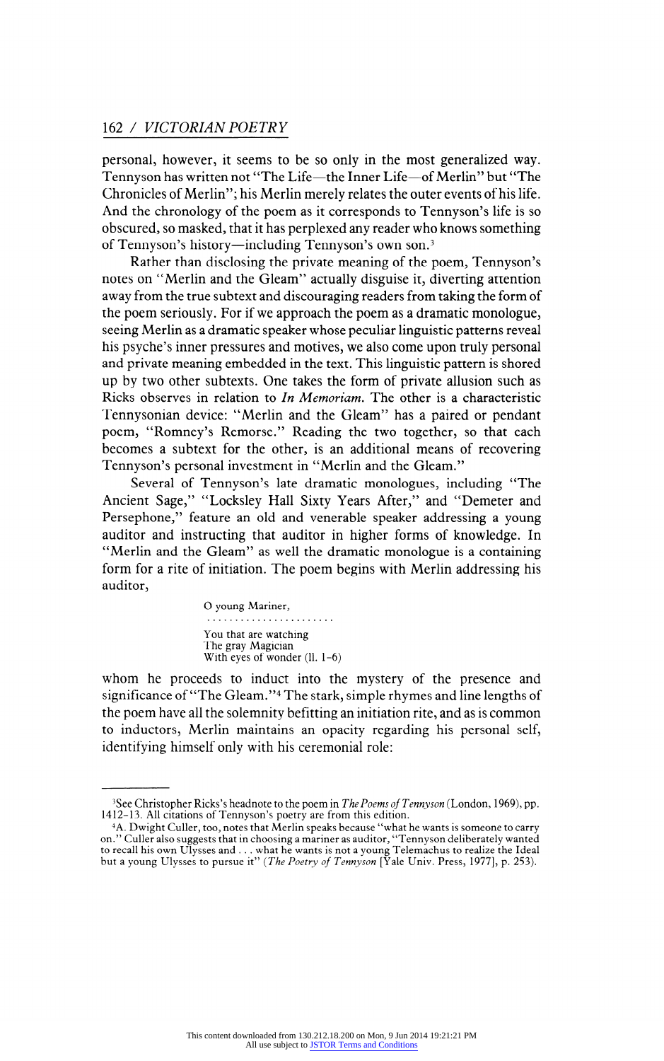**personal, however, it seems to be so only in the most generalized way.**  Tennyson has written not "The Life-the Inner Life-of Merlin" but "The **Chronicles of Merlin"; his Merlin merely relates the outer events of his life. And the chronology of the poem as it corresponds to Tennyson's life is so obscured, so masked, that it has perplexed any reader who knows something**  of Tennyson's history-including Tennyson's own son.<sup>3</sup>

**Rather than disclosing the private meaning of the poem, Tennyson's notes on "Merlin and the Gleam" actually disguise it, diverting attention away from the true subtext and discouraging readers from taking the form of the poem seriously. For if we approach the poem as a dramatic monologue, seeing Merlin as a dramatic speaker whose peculiar linguistic patterns reveal his psyche's inner pressures and motives, we also come upon truly personal and private meaning embedded in the text. This linguistic pattern is shored up by two other subtexts. One takes the form of private allusion such as Ricks observes in relation to In Memoriam. The other is a characteristic Tennysonian device: "Merlin and the Gleam" has a paired or pendant poem, "Romney's Remorse." Reading the two together, so that each becomes a subtext for the other, is an additional means of recovering Tennyson's personal investment in "Merlin and the Gleam."** 

**Several of Tennyson's late dramatic monologues, including "The Ancient Sage," "Locksley Hall Sixty Years After," and "Demeter and Persephone," feature an old and venerable speaker addressing a young auditor and instructing that auditor in higher forms of knowledge. In "Merlin and the Gleam" as well the dramatic monologue is a containing form for a rite of initiation. The poem begins with Merlin addressing his auditor,** 

> **O young Mariner, You that are watching The gray Magician**  With eyes of wonder (ll. 1-6)

**whom he proceeds to induct into the mystery of the presence and significance of "The Gleam."4 The stark, simple rhymes and line lengths of the poem have all the solemnity befitting an initiation rite, and as is common to inductors, Merlin maintains an opacity regarding his personal self, identifying himself only with his ceremonial role:** 

**<sup>3</sup>See Christopher Ricks's headnote to the poem in The Poems of Tennyson (London, 1969), pp. 1412-13. All citations of Tennyson's poetry are from this edition.** 

**<sup>4</sup>A. Dwight Culler, too, notes that Merlin speaks because "what he wants is someone to carry on." Culler also suggests that in choosing a mariner as auditor, "Tennyson deliberately wanted**  to recall his own Ulysses and . . . what he wants is not a young Telemachus to realize the Ideal but a young Ulysses to pursue it'' (*The Poetry of Tennyson* [Yale Univ. Press, 1977], p. 253).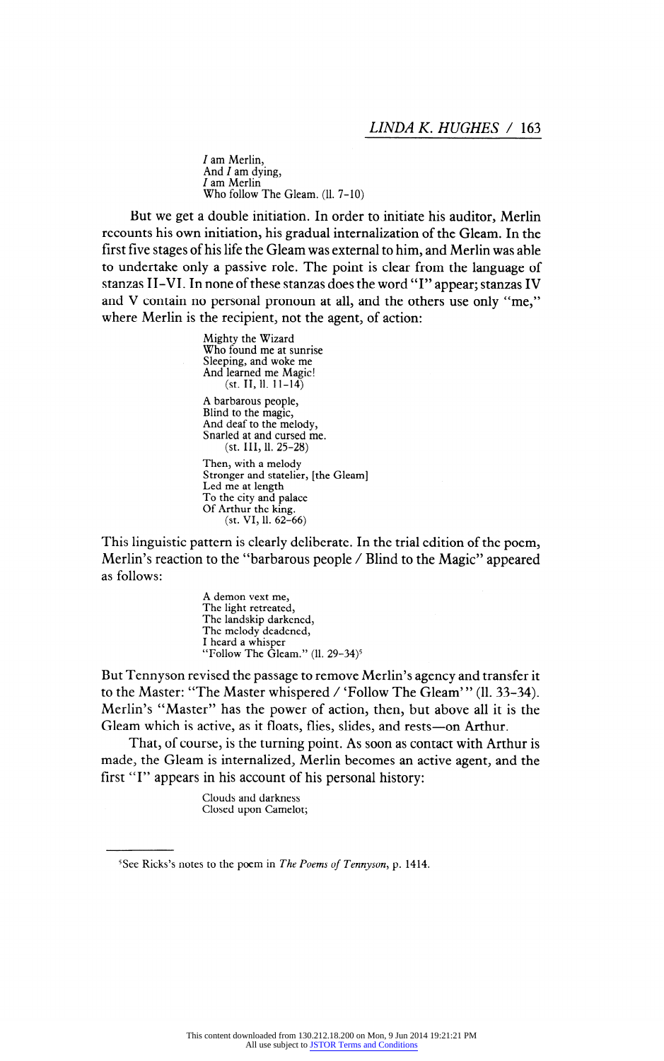**/ am Merlin, And / am dying, / am Merlin Who follow The Gleam. (11. 7-10)** 

**But we get a double initiation. In order to initiate his auditor, Merlin recounts his own initiation, his gradual internalization of the Gleam. In the first five stages of his life the Gleam was external to him, and Merlin was able to undertake only a passive role. The point is clear from the language of stanzas II-VI. In none of these stanzas does the word "I" appear; stanzas IV and V contain no personal pronoun at all, and the others use only "me," where Merlin is the recipient, not the agent, of action:** 

> **Mighty the Wizard Who found me at sunrise Sleeping, and woke me And learned me Magic! (st. 11,11. 11-14)**

**A barbarous people, Blind to the magic, And deaf to the melody, Snarled at and cursed me. (st. Ill, 11. 25-28)** 

**Then, with a melody Stronger and statelier, [the Gleam] Led me at length To the city and palace Of Arthur the king. (st. VI, 11. 62-66)** 

**This linguistic pattern is clearly deliberate. In the trial edition of the poem, Merlin's reaction to the "barbarous people / Blind to the Magic" appeared as follows:** 

> **A demon vext me, The light retreated, The landskip darkened, The melody deadened, I heard a whisper "Follow The Gleam." (11. 29-34)5**

**But Tennyson revised the passage to remove Merlin's agency and transfer it to the Master: "The Master whispered / 'Follow The Gleam' " (11. 33-34). Merlin's "Master" has the power of action, then, but above all it is the**  Gleam which is active, as it floats, flies, slides, and rests-on Arthur.

**That, of course, is the turning point. As soon as contact with Arthur is made, the Gleam is internalized, Merlin becomes an active agent, and the first "I" appears in his account of his personal history:** 

> **Clouds and darkness Closed upon Camelot;**

**<sup>5</sup>See Ricks's notes to the poem in The Poems of Tennyson, p. 1414.**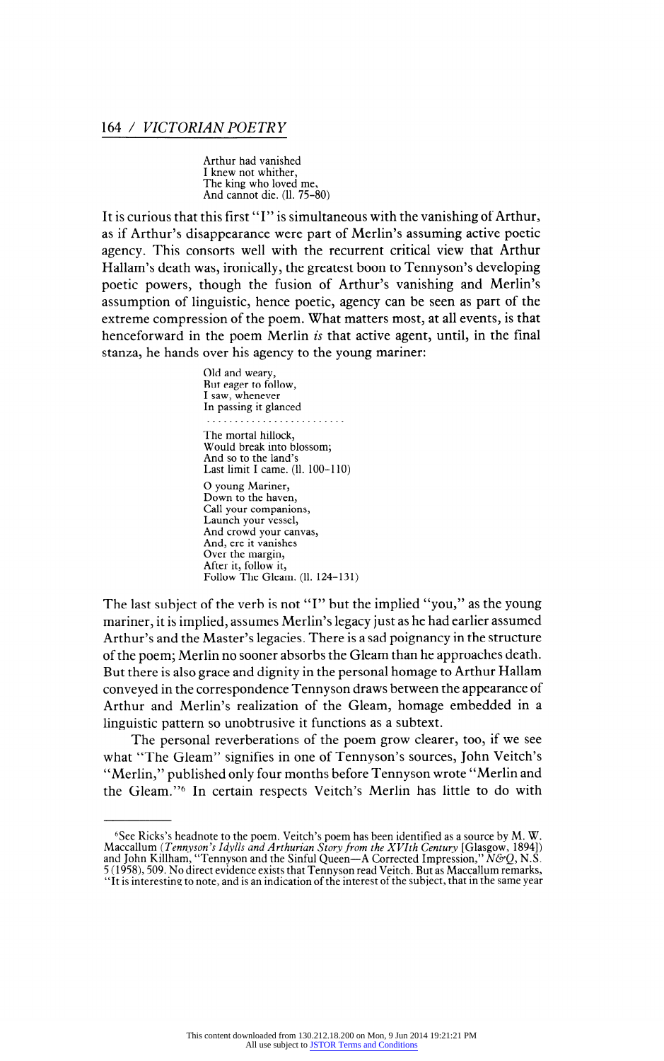**Arthur had vanished I knew not whither, The king who loved me, And cannot die. (11. 75-80)** 

**It is curious that this first "I" is simultaneous with the vanishing of Arthur, as if Arthur's disappearance were part of Merlin's assuming active poetic agency. This consorts well with the recurrent critical view that Arthur Hallam's death was, ironically, the greatest boon to Tennyson's developing poetic powers, though the fusion of Arthur's vanishing and Merlin's assumption of linguistic, hence poetic, agency can be seen as part of the extreme compression of the poem. What matters most, at all events, is that henceforward in the poem Merlin is that active agent, until, in the final stanza, he hands over his agency to the young mariner:** 

> **Old and weary, But eager to follow, I saw, whenever In passing it glanced The mortal hillock, Would break into blossom; And so to the land's Last limit I came. (11. 100-110) O young Mariner, Down to the haven, Call your companions, Launch your vessel, And crowd your canvas, And, ere it vanishes Over the margin, After it, follow it, Follow The Gleam. (11. 124-131)**

**The last subject of the verb is not "I" but the implied "you," as the young mariner, it is implied, assumes Merlin's legacy just as he had earlier assumed Arthur's and the Master's legacies. There is a sad poignancy in the structure of the poem; Merlin no sooner absorbs the Gleam than he approaches death. But there is also grace and dignity in the personal homage to Arthur Hallam conveyed in the correspondence Tennyson draws between the appearance of Arthur and Merlin's realization of the Gleam, homage embedded in a linguistic pattern so unobtrusive it functions as a subtext.** 

**The personal reverberations of the poem grow clearer, too, if we see what "The Gleam" signifies in one of Tennyson's sources, John Veitch's "Merlin," published only four months before Tennyson wrote "Merlin and the Gleam."6 In certain respects Veitch's Merlin has little to do with** 

<sup>&</sup>lt;sup>6</sup>See Ricks's headnote to the poem. Veitch's poem has been identified as a source by M. W.<br>Maccallum (*Tennyson's Idylls and Arthurian Story from the XVIth Century* [Glasgow, 1894])<br>and John Killham, "Tennyson and the Si

**<sup>5 (1958), 509.</sup> No direct evidence exists that Tennyson read Veitch. But as Maccallum remarks, "It is interesting to note, and is an indication of the interest of the subject, that in the same year**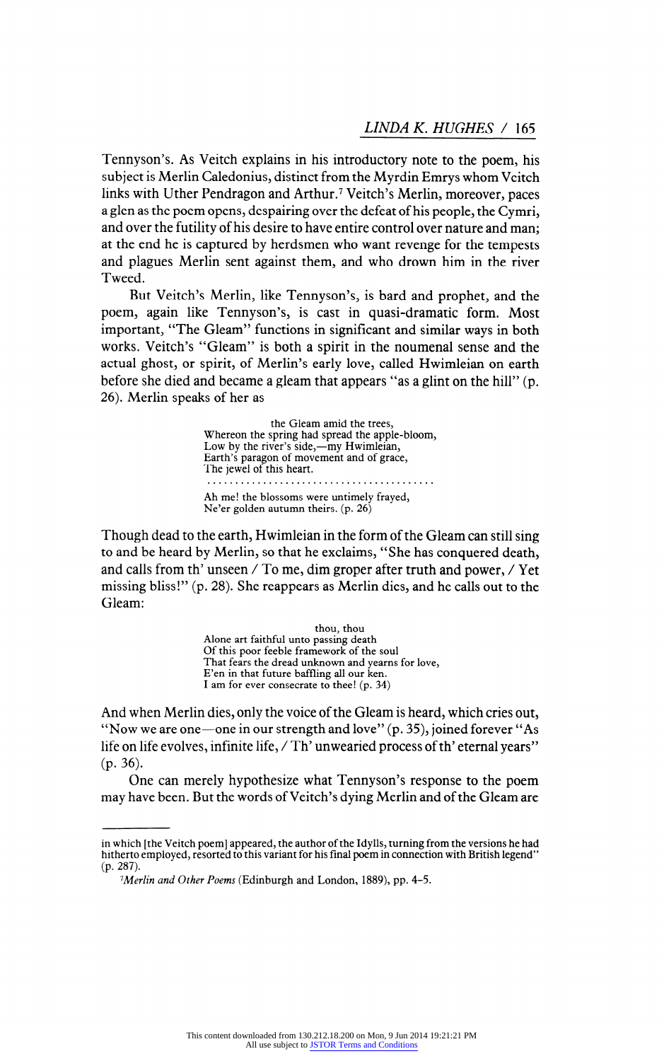**Tennyson's. As Veitch explains in his introductory note to the poem, his subject is Merlin Caledonius, distinct from the Myrdin Emrys whom Veitch**  links with Uther Pendragon and Arthur.<sup>7</sup> Veitch's Merlin, moreover, paces **a glen as the poem opens, despairing over the defeat of his people, the Cymri, and over the futility of his desire to have entire control over nature and man; at the end he is captured by herdsmen who want revenge for the tempests and plagues Merlin sent against them, and who drown him in the river Tweed.** 

**But Veitch's Merlin, like Tennyson's, is bard and prophet, and the poem, again like Tennyson's, is cast in quasi-dramatic form. Most important, "The Gleam" functions in significant and similar ways in both works. Veitch's "Gleam" is both a spirit in the noumenal sense and the actual ghost, or spirit, of Merlin's early love, called Hwimleian on earth before she died and became a gleam that appears "as a glint on the hill" (p. 26). Merlin speaks of her as** 

> **the Gleam amid the trees, Whereon the spring had spread the apple-bloom,**  Low by the river's side,—my Hwimleian,<br>Earth's paragon of movement and of grace, **The jewel of this heart.**  . . . . . . . . . . . . . . . **Ah me! the blossoms were untimely frayed, Ne'er golden autumn theirs, (p. 26)**

**Though dead to the earth, Hwimleian in the form of the Gleam can still sing to and be heard by Merlin, so that he exclaims, "She has conquered death, and calls from th' unseen / To me, dim groper after truth and power, / Yet missing bliss!" (p. 28). She reappears as Merlin dies, and he calls out to the Gleam:** 

> **thou, thou Alone art faithful unto passing death Of this poor feeble framework of the soul That fears the dread unknown and yearns for love, E'en in that future baffling all our ken. I am for ever consecrate to thee! (p. 34)**

**And when Merlin dies, only the voice of the Gleam is heard, which cries out,**  "Now we are one-one in our strength and love" (p. 35), joined forever "As **life on life evolves, infinite life, / Th' unwearied process of th' eternal years" (p. 36).** 

**One can merely hypothesize what Tennyson's response to the poem may have been. But the words of Veitch's dying Merlin and of the Gleam are** 

**in which [the Veitch poem] appeared, the author of the Idylls, turning from the versions he had hitherto employed, resorted to this variant for his final poem in connection with British legend" (p. 287).** 

**<sup>1</sup> Merlin and Other Poems (Edinburgh and London, 1889), pp. 4-5.**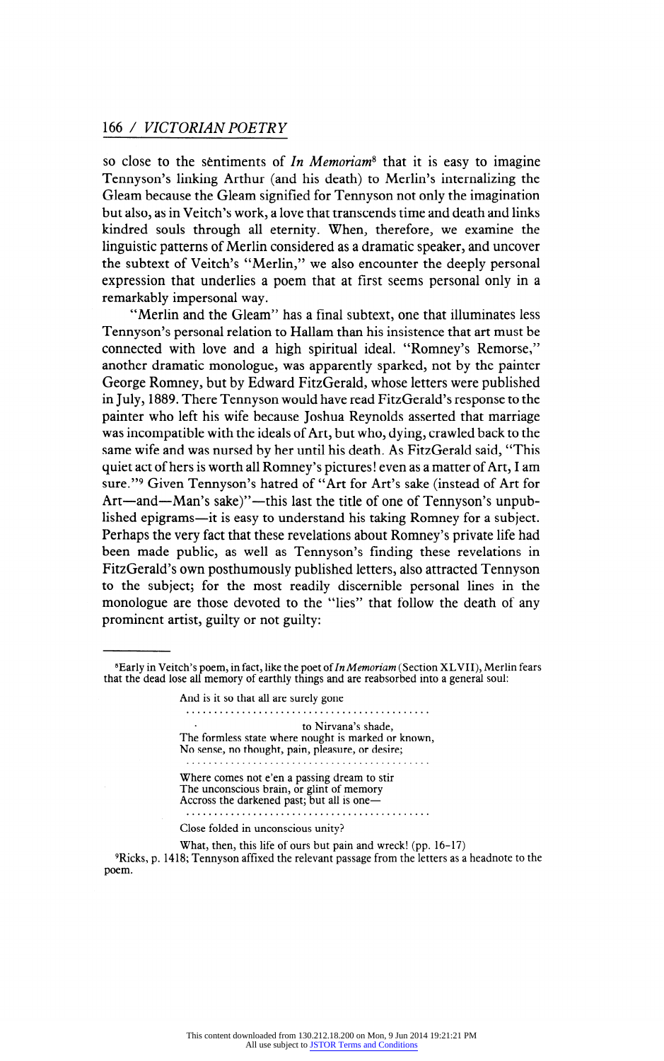**so close to the sentiments of In Memoriam8 that it is easy to imagine Tennyson's linking Arthur (and his death) to Merlin's internalizing the Gleam because the Gleam signified for Tennyson not only the imagination but also, as in Veitch's work, a love that transcends time and death and links kindred souls through all eternity. When, therefore, we examine the linguistic patterns of Merlin considered as a dramatic speaker, and uncover the subtext of Veitch's "Merlin," we also encounter the deeply personal expression that underlies a poem that at first seems personal only in a remarkably impersonal way.** 

**"Merlin and the Gleam" has a final subtext, one that illuminates less Tennyson's personal relation to Hallam than his insistence that art must be connected with love and a high spiritual ideal. "Romney's Remorse," another dramatic monologue, was apparently sparked, not by the painter George Romney, but by Edward FitzGerald, whose letters were published in July, 1889. There Tennyson would have read FitzGerald's response to the painter who left his wife because Joshua Reynolds asserted that marriage was incompatible with the ideals of Art, but who, dying, crawled back to the same wife and was nursed by her until his death. As FitzGerald said, "This quiet act of hers is worth all Romney's pictures ! even as a matter of Art, I am sure."9 Given Tennyson's hatred of "Art for Art's sake (instead of Art for**  Art-and-Man's sake)"-this last the title of one of Tennyson's unpublished epigrams-it is easy to understand his taking Romney for a subject. **Perhaps the very fact that these revelations about Romney's private life had been made public, as well as Tennyson's finding these revelations in FitzGerald's own posthumously published letters, also attracted Tennyson to the subject; for the most readily discernible personal lines in the monologue are those devoted to the "lies" that follow the death of any prominent artist, guilty or not guilty:** 

**And is it so that all are surely gone to Nirvana's shade, The formless state where nought is marked or known, No sense, no thought, pain, pleasure, or desire; Where comes not e'en a passing dream to stir**  The unconscious brain, or glint of memory **Accross the darkened past; but all is one Close folded in unconscious unity?** 

**What, then, this life of ours but pain and wreck! (pp. 16-17) 9Ricks, p. 1418; Tennyson affixed the relevant passage from the letters as a headnote to the poem.** 

**<sup>8</sup>Early in Veitch's poem, in fact, like the poet of In Memoriam (Section XL VII), Merlin fears that the dead lose all memory of earthly things and are reabsorbed into a general soul:**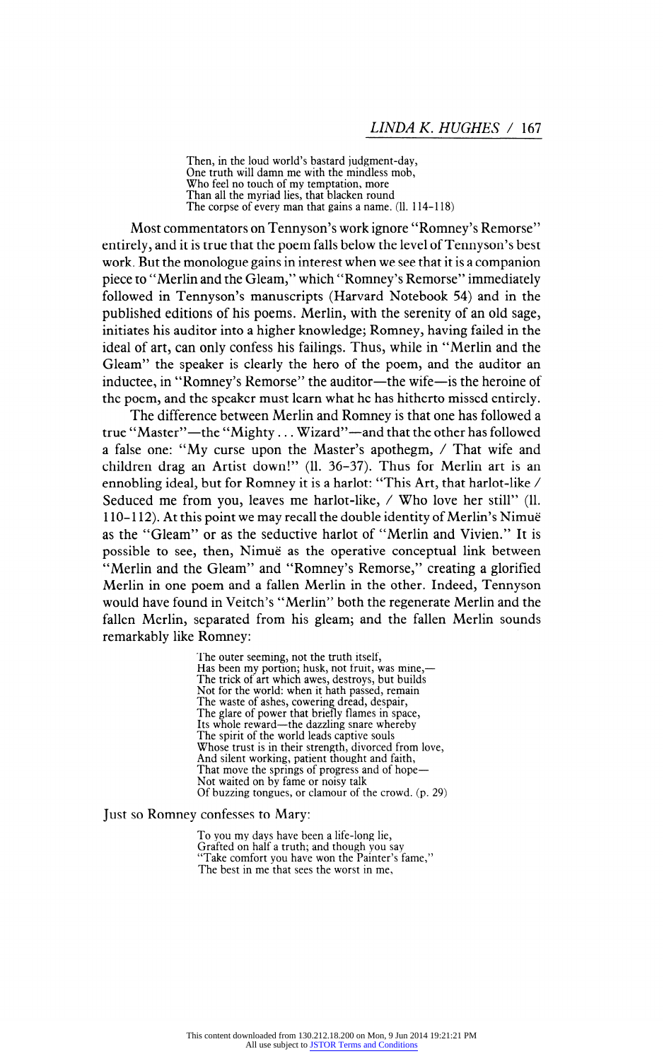**Then, in the loud world's bastard judgment-day, One truth will damn me with the mindless mob, Who feel no touch of my temptation, more Than all the myriad lies, that blacken round The corpse of every man that gains a name. (11. 114-118)** 

**Most commentators on Tennyson's work ignore "Romney's Remorse" entirely, and it is true that the poem falls below the level of Tennyson's best work. But the monologue gains in interest when we see that it is a companion piece to "Merlin and the Gleam," which "Romney's Remorse" immediately followed in Tennyson's manuscripts (Harvard Notebook 54) and in the published editions of his poems. Merlin, with the serenity of an old sage, initiates his auditor into a higher knowledge; Romney, having failed in the ideal of art, can only confess his failings. Thus, while in "Merlin and the Gleam" the speaker is clearly the hero of the poem, and the auditor an**  inductee, in "Romney's Remorse" the auditor-the wife-is the heroine of **the poem, and the speaker must learn what he has hitherto missed entirely.** 

**The difference between Merlin and Romney is that one has followed a true "Master"- the "Mighty . . . Wizard"- and that the other has followed a false one: "My curse upon the Master's apothegm, / That wife and children drag an Artist down!" (11. 36-37). Thus for Merlin art is an ennobling ideal, but for Romney it is a harlot: "This Art, that harlot-like / Seduced me from you, leaves me harlot-like, / Who love her still" (11. 1 10- 1 12). At this point we may recall the double identity of Merlin's Nimue as the "Gleam" or as the seductive harlot of "Merlin and Vivien." It is possible to see, then, Nimue as the operative conceptual link between "Merlin and the Gleam" and "Romney's Remorse," creating a glorified Merlin in one poem and a fallen Merlin in the other. Indeed, Tennyson would have found in Veitch's "Merlin" both the regenerate Merlin and the fallen Merlin, separated from his gleam; and the fallen Merlin sounds remarkably like Romney:** 

> **The outer seeming, not the truth itself,**  Has been my portion; husk, not fruit, was mine,-**The trick of art which awes, destroys, but builds Not for the world: when it hath passed, remain The waste of ashes, cowering dread, despair, The glare of power that briefly flames in space,**  Its whole reward—the dazzling snare whereby **The spirit of the world leads captive souls Whose trust is in their strength, divorced from love, And silent working, patient thought and faith,**  That move the springs of progress and of hope— **Not waited on by fame or noisy talk Of buzzing tongues, or clamour of the crowd, (p. 29)**

#### **Just so Romney confesses to Mary:**

**To you my days have been a life-long lie, Grafted on half a truth; and though you say "Take comfort you have won the Painter's fame," The best in me that sees the worst in me,**